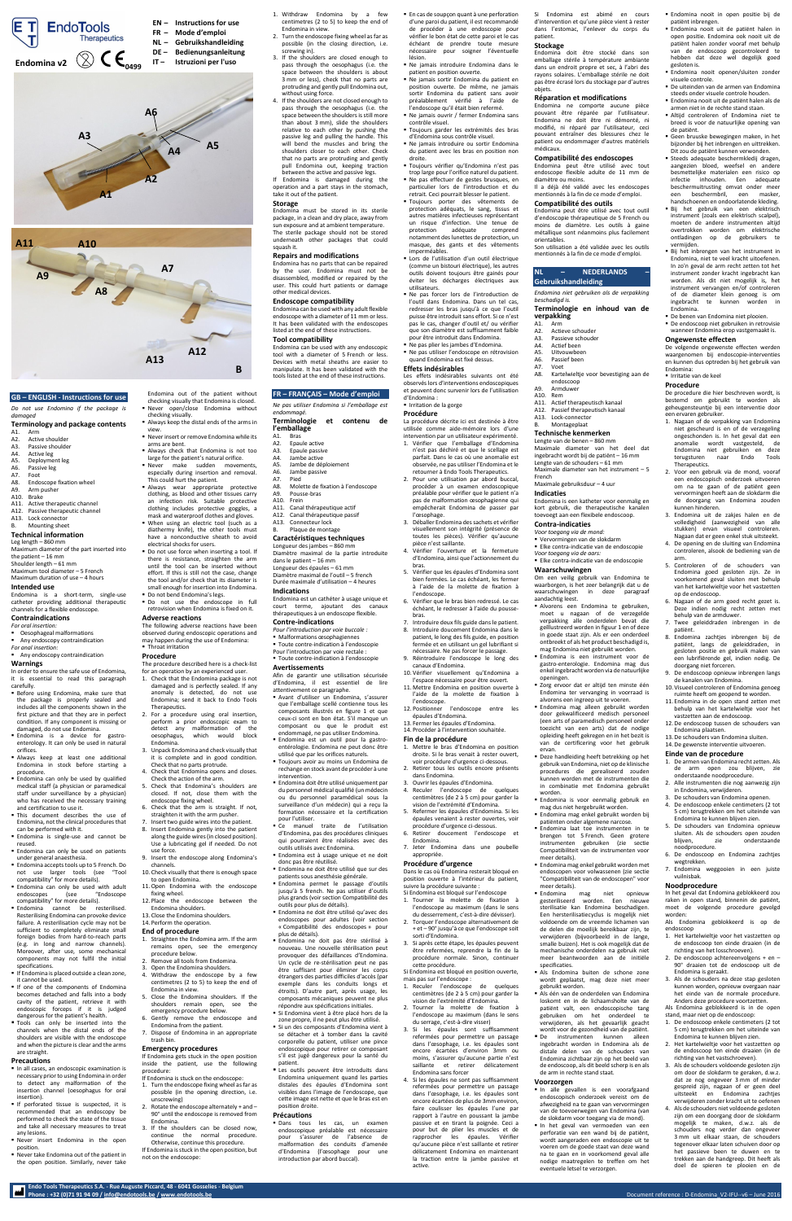**Endo Tools Therapeutics S.A. - Rue Auguste Piccard, 48 - 6041 Gosselies - Belgium**

# **GB – ENGLISH - Instructions for use**

*Do not use Endomina if the package is damaged*

# **Terminology and package contents**

- A1. Arm<br>A2. Activ
- A2. Active shoulder<br>A3. Passive shoulde A3. Passive shoulder<br>A4. Active leg
- A4. Active leg<br>A5. Deployme
- A5. Deployment leg<br>A6. Passive leg
- A6. Passive leg<br>A7. Foot A7. Foot<br>A8. Endo
- Endoscope fixation wheel
- A9. Arm pusher<br>A10. Brake
- **Brake** A11. Active therapeutic channel
- A12. Passive therapeutic channel
- A13. Lock connector
- Mounting sheet

- *For oral insertion:*
- Oesophageal malformations
- Any endoscopy contraindication *For anal insertion:*
- **Any endoscopy contraindication**

## **Technical information**

Leg length – 860 mm Maximum diameter of the part inserted into the patient – 16 mm Shoulder length – 61 mm Maximum tool diameter – 5 French Maximum duration of use – 4 hours

## **Intended use**

Endomina is a short-term, single-use catheter providing additional therapeutic channels for a flexible endoscope.

# **Contraindications**

# **Warnings**

- In order to ensure the safe use of Endomina, it is essential to read this paragraph carefully.
- **Before using Endomina, make sure that** the package is properly sealed and includes all the components shown in the first picture and that they are in perfect

- In all cases, an endoscopic examination is necessary prior to using Endomina in order to detect any malformation of the insertion channel (oesophagus for oral insertion).
- **If perforated tissue is suspected, it is** recommended that an endoscopy be performed to check the state of the tissue and take all necessary measures to treat any lesions.
- Never insert Endomina in the open position.
- Never take Endomina out of the patient in the open position. Similarly, never take
- condition. If any component is missing or damaged, do not use Endomina.
- Endomina is a device for gastroenterology. It can only be used in natural orifices.
- Always keep at least one additional Endomina in stock before starting a procedure.
- **Endomina can only be used by qualified** medical staff (a physician or paramedical staff under surveillance by a physician) who has received the necessary training and certification to use it.
- This document describes the use of Endomina, not the clinical procedures that can be performed with it.
- Endomina is single-use and cannot be reused.
- **Endomina can only be used on patients** under general anaesthesia.
- **Endomina accepts tools up to 5 French. Do** not use larger tools (see "Tool compatibility" for more details).
- Endomina can only be used with adult<br>endoscopes (see "Endoscope (see "Endoscope compatibility" for more details).
- Endomina cannot be resterilised. Resterilising Endomina can provoke device failure. A resterilisation cycle may not be sufficient to completely eliminate small foreign bodies from hard-to-reach parts (e.g. in long and narrow channels). Moreover, after use, some mechanical components may not fulfil the initial specifications.
- **If Endomina is placed outside a clean zone,** it cannot be used.
- If one of the components of Endomina becomes detached and falls into a body cavity of the patient, retrieve it with endoscopic forceps if it is judged dangerous for the patient's health.
- Tools can only be inserted into the channels when the distal ends of the shoulders are visible with the endoscope and when the picture is clear and the arms are straight.

The following adverse reactions have been observed during endoscopic operations and may happen during the use of Endomina: **Throat irritation** 

#### **Precautions**

- Endomina out of the patient without checking visually that Endomina is closed. Never open/close Endomina without
- checking visually. Always keep the distal ends of the arms in
- view. Never insert or remove Endomina while its
- arms are bent.
- Always check that Endomina is not too large for the patient's natural orifice.
- **Never** make sudden movements, especially during insertion and removal.
- This could hurt the patient. Always wear appropriate protective clothing, as blood and other tissues carry an infection risk. Suitable protective clothing includes protective goggles, a
- mask and waterproof clothes and gloves. When using an electric tool (such as a
- diathermy knife), the other tools must have a nonconductive sheath to avoid electrical shocks for users. Do not use force when inserting a tool. If
- there is resistance, straighten the arm until the tool can be inserted without effort. If this is still not the case, change the tool and/or check that its diameter is small enough for insertion into Endomina.
- Do not bend Endomina's legs. Do not use the endoscope in full retrovision when Endomina is fixed on it.

# **Adverse reactions**

# **Procedure**

- The procedure described here is a check-list
- for an operation by an experienced user. 1. Check that the Endomina package is not
- damaged and is perfectly sealed. If any anomaly is detected, do not use Endomina; send it back to Endo Tools
- Therapeutics. 2. For a procedure using oral insertion,
- perform a prior endoscopic exam to detect any malformation of the oesophagus, which would block Endomina.
- 3. Unpack Endomina and check visually that it is complete and in good condition.
- Check that no parts protrude. 4. Check that Endomina opens and closes. Check the action of the arm.
- 5. Check that Endomina's shoulders are closed. If not, close them with the endoscope fixing wheel.
- 6. Check that the arm is straight. If not, straighten it with the arm pusher.
- 7. Insert two guide wires into the patient. 8. Insert Endomina gently into the patient along the guide wires (in closed position). Use a lubricating gel if needed. Do not use force.
- 9. Insert the endoscope along Endomina's channels.
- 10. Check visually that there is enough space to open Endomina.
- 11.Open Endomina with the endoscope fixing wheel.
- 12. Place the endoscope between the Endomina shoulders.
- 13. Close the Endomina shoulders.
- 14. Perform the operation.

# **End of procedure**

Dans tous les cas, un examen endoscopique préalable est nécessaire pour s'assurer de l'absence de malformation des conduits d'amenée d'Endomina (l'œsophage pour une introduction par abord buccal).

Phone : +32 (0)71 91 94 09 / <u>info@endotools.be</u> [/ www.endotools.be](http://www.endotools.be/) / www.endotools.be / www.endotools.be / www.endotools.be / www.endotools.be / www.endotools.be / www.endotools.be / www.endotools.be / www.endotools.be /

- 1. Straighten the Endomina arm. If the arm remains open, see the emergency procedure below.
- Remove all tools from Endomina.
- 3. Open the Endomina shoulders.
- 4. Withdraw the endoscope by a few centimetres (2 to 5) to keep the end of Endomina in view.
- 5. Close the Endomina shoulders. If the shoulders remain open, see the emergency procedure below.
- 6. Gently remove the endoscope and Endomina from the patient.
- 7. Dispose of Endomina in an appropriate trash bin.

## **Emergency procedures**

If Endomina gets stuck in the open position inside the patient, use the following procedure:

If Endomina is stuck on the endoscope:

- 1. Turn the endoscope fixing wheel as far as possible (in the opening direction, i.e. unscrewing)
- 2. Rotate the endoscope alternately + and 90° until the endoscope is removed from Endomina.
- 3. If the shoulders can be closed now, continue the normal procedure. Otherwise, continue this procedure. If Endomina is stuck in the open position, but not on the endoscope:
- 1. Withdraw Endomina by a few centimetres (2 to 5) to keep the end of Endomina in view.
- 2. Turn the endoscope fixing wheel as far as possible (in the closing direction, i.e. screwing in).
- 3. If the shoulders are closed enough to pass through the oesophagus (i.e. the space between the shoulders is about 3 mm or less), check that no parts are protruding and gently pull Endomina out, without using force.
- 4. If the shoulders are not closed enough to pass through the oesophagus (i.e. the space between the shoulders is still more than about 3 mm), slide the shoulders relative to each other by pushing the passive leg and pulling the handle. This will bend the muscles and bring the shoulders closer to each other. Check that no parts are protruding and gently pull Endomina out, keeping traction
- between the active and passive legs. If Endomina is damaged during the operation and a part stays in the stomach,

take it out of the patient. **Storage**

Endomina must be stored in its sterile package, in a clean and dry place, away from sun exposure and at ambient temperature. The sterile package should not be stored underneath other packages that could squash it.

#### **Repairs and modifications**

Endomina has no parts that can be repaired by the user. Endomina must not be disassembled, modified or repaired by the user. This could hurt patients or damage other medical devices.

## **Endoscope compatibility**

Endomina can be used with any adult flexible endoscope with a diameter of 11 mm or less. It has been validated with the endoscopes listed at the end of these instructions.

# **Tool compatibility**

Endomina can be used with any endoscopic tool with a diameter of 5 French or less. Devices with metal sheaths are easier to manipulate. It has been validated with the tools listed at the end of these instructions.

## **FR – FRANÇAIS – Mode d'emploi**

*Ne pas utiliser Endomina si l'emballage est endommagé.*

# **Terminologie et contenu de l'emballage**

- A1. Bras A2. Epaule active
- A3. Epaule passive
- 
- A4. Jambe active<br>A5. Jambe de dér Jambe de déploiement
- A6. Jambe passive<br>A7. Pied
- Pied
- A8. Molette de fixation à l'endoscope
- A9. Pousse-bras
- A10. Frein
- A11. Canal thérapeutique actif A12. Canal thérapeutique passif
- A13. Connecteur lock
- B. Plaque de montage

# **Caractéristiques techniques**

Longueur des jambes – 860 mm Diamètre maximal de la partie introduite dans le patient – 16 mm Longueur des épaules – 61 mm Diamètre maximal de l'outil – 5 french

Durée maximale d'utilisation – 4 heures

# **Indications**

Endomina est un cathéter à usage unique et court terme, ajoutant des canaux thérapeutiques à un endoscope flexible.

# **Contre-indications**

**verpakking** A1. Arm<br>A2. Actie

- *Pour l'introduction par voie buccale :*
- Malformations œsophagiennes Toute contre-indication à l'endoscopie
- Pour l'introduction par voie rectale : Toute contre-indication à l'endoscopie
	-

# **Avertissements**

- Afin de garantir une utilisation sécurisée d'Endomina, il est essentiel de lire
- attentivement ce paragraphe. Avant d'utiliser un Endomina, s'assurer
	- que l'emballage scellé contienne tous les composants illustrés en figure 1 et que

- ceux-ci sont en bon état. S'il manque un composant ou que le produit est endommagé, ne pas utiliser Endomina.
- Endomina est un outil pour la gastroentérologie. Endomina ne peut donc être utilisé que par les orifices naturels.
- Toujours avoir au moins un Endomina de rechange en stock avant de procéder à une intervention.
- Endomina doit être utilisé uniquement par du personnel médical qualifié (un médecin ou du personnel paramédical sous la surveillance d'un médecin) qui a reçu la formation nécessaire et la certification pour l'utiliser.
- Ce manuel traite de l'utilisation d'Endomina, pas des procédures cliniques qui pourraient être réalisées avec des outils utilisés avec Endomina.
- Endomina est à usage unique et ne doit donc pas être réutilisé.
- Endomina ne doit être utilisé que sur des patients sous anesthésie générale.
- Endomina permet le passage d'outils jusqu'à 5 french. Ne pas utiliser d'outils plus grands (voir sectio[n Compatibilité des](#page-0-0)  [outils](#page-0-0) pour plus de détails).
- Endomina ne doit être utilisé qu'avec des endoscopes pour adultes (voir section « [Compatibilité des endoscopes](#page-0-1) » pour plus de détails).
- Endomina ne doit pas être stérilisé à nouveau. Une nouvelle stérilisation peut provoquer des défaillances d'Endomina. Un cycle de re-stérilisation peut ne pas être suffisant pour éliminer les corps étrangers des parties difficiles d'accès (par exemple dans les conduits longs et étroits). D'autre part, après usage, les composants mécaniques peuvent ne plus répondre aux spécifications initiales.
- Si Endomina vient à être placé hors de la zone propre, il ne peut plus être utilisé.
- Si un des composants d'Endomina vient à se détacher et à tomber dans la cavité corporelle du patient, utiliser une pince endoscopique pour retirer ce composant s'il est jugé dangereux pour la santé du patient.
- Les outils peuvent être introduits dans Endomina uniquement quand les parties distales des épaules d'Endomina sont visibles dans l'image de l'endoscope, que cette image est nette et que le bras est en position droite.

#### **Précautions**

De benen van Endomina niet plooien. De endoscoop niet gebruiken in retrovisie wanneer Endomina erop vastgemaakt is.

 En cas de soupçon quant à une perforation d'une paroi du patient, il est recommandé de procéder à une endoscopie pour vérifier le bon état de cette paroi et le cas échéant de prendre toute mesure nécessaire pour soigner l'éventuelle lésion.

- Ne jamais introduire Endomina dans le patient en position ouverte.
- Ne jamais sortir Endomina du patient en position ouverte. De même, ne jamais sortir Endomina du patient sans avoir préalablement vérifié à l'aide de l'endoscope qu'il était bien refermé.
- Ne jamais ouvrir / fermer Endomina sans contrôle visuel. Toujours garder les extrémités des bras
	- d'Endomina sous contrôle visuel. Ne jamais introduire ou sortir Endomina
	- du patient avec les bras en position non droite.
- Toujours vérifier qu'Endomina n'est pas trop large pour l'orifice naturel du patient. Ne pas effectuer de gestes brusques, en
- particulier lors de l'introduction et du retrait. Ceci pourrait blesser le patient.
- Toujours porter des vêtements de protection adéquats, le sang, tissus et autres matières infectieuses représentant un risque d'infection. Une tenue de protection adéquate comprend notamment des lunettes de protection, un masque, des gants et des vêtements imperméables.
- Lors de l'utilisation d'un outil électrique (comme un bistouri électrique), les autres outils doivent toujours être gainés pour éviter les décharges électriques aux utilisateurs.
- Ne pas forcer lors de l'introduction de l'outil dans Endomina. Dans un tel cas, redresser les bras jusqu'à ce que l'outil puisse être introduit sans effort. Si ce n'est pas le cas, changer d'outil et/ ou vérifier que son diamètre est suffisamment faible pour être introduit dans Endomina. Ne pas plier les jambes d'Endomina.

- 1. De armen van Endomina recht zetten. Als de arm open zou blijven, zie onderstaande noodprocedure.
- 2. Alle instrumenten die nog aanwezig zijn in Endomina, verwijderen.
- 3. De schouders van Endomina openen.
- 4. De endoscoop enkele centimeters (2 tot 5 cm) terugtrekken om het uiteinde van Endomina te kunnen blijven zien. 5. De schouders van Endomina opnieuw

1. Het kartelwieltie voor het vastzetten on de endoscoop ten einde draaien (in de richting van het losschroeven). 2. De endoscoop achtereenvolgens + en – 90° draaien tot de endoscoop uit de

 Ne pas utiliser l'endoscope en rétrovision quand Endomina est fixé dessus.

**Effets indésirables**

Les effets indésirables suivants ont été observés lors d'interventions endoscopiques et peuvent donc survenir lors de l'utilisation

d'Endomina : **Irritation de la gorge Procédure**

La procédure décrite ici est destinée à être utilisée comme aide-mémoire lors d'une intervention par un utilisateur expérimenté. 1. Vérifier que l'emballage d'Endomina n'est pas déchiré et que le scellage est parfait. Dans le cas où une anomalie est observée, ne pas utiliser l'Endomina et le retourner à Endo Tools Therapeutics. 2. Pour une utilisation par abord buccal, procéder à un examen endoscopique préalable pour vérifier que le patient n'a pas de malformation œsophagienne qui empêcherait Endomina de passer par

l'œsophage.

3. Déballer Endomina des sachets et vérifier visuellement son intégrité (présence de toutes les pièces). Vérifier qu'aucune

pièce n'est saillante.

4. Vérifier l'ouverture et la fermeture d'Endomina, ainsi que l'actionnement du

bras.

5. Vérifier que les épaules d'Endomina sont bien fermées. Le cas échéant, les fermer à l'aide de la molette de fixation à

l'endoscope.

6. Vérifier que le bras bien redressé. Le cas échéant, le redresser à l'aide du pousse-

bras.

7. Introduire deux fils guide dans le patient. 8. Introduire doucement Endomina dans le patient, le long des fils guide, en position fermée et en utilisant un gel lubrifiant si nécessaire. Ne pas forcer le passage. 9. Réintroduire l'endoscope le long des

canaux d'Endomina.

10. Vérifier visuellement qu'Endomina a l'espace nécessaire pour être ouvert. 11. Mettre Endomina en position ouverte à l'aide de la molette de fixation à

l'endoscope.

12. Positionner l'endoscope entre les

13. Fermer les épaules d'Endomina. 14. Procéder à l'intervention souhaitée.

#### **Fin de la procédure**

épaules d'Endomina

- 1. Mettre le bras d'Endomina en position droite. Si le bras venait à rester ouvert, voir procédure d'urgence ci-dessous. 2. Retirer tous les outils encore présents
- dans Endomina. 3. Ouvrir les épaules d'Endomina.
- 4. Reculer l'endoscope de quelques
- centimètres (de 2 à 5 cm) pour garder la vision de l'extrémité d'Endomina. 5. Refermer les épaules d'Endomina. Si les
- épaules venaient à rester ouvertes, voir procédure d'urgence ci-dessous.
- 6. Retirer doucement l'endoscope et Endomina.
- 7. Jeter Endomina dans une poubelle appropriée.

## **Procédure d'urgence**

Dans le cas où Endomina resterait bloqué en

position ouverte à l'intérieur du patient, suivre la procédure suivante :

Si Endomina est bloqué sur l'endoscope

1. Tourner la molette de fixation à l'endoscope au maximum (dans le sens du desserrement, c'est-à-dire dévisser).

- 2. Torquer l'endoscope alternativement de + et – 90° jusqu'à ce que l'endoscope soit sorti d'Endomina.
- 3. Si après cette étape, les épaules peuvent être refermées, reprendre la fin de la procédure normale. Sinon, continuer cette procédure.

Si Endomina est bloqué en position ouverte, mais pas sur l'endoscope :

- 1. Reculer l'endoscope de quelques centimètres (de 2 à 5 cm) pour garder la vision de l'extrémité d'Endomina.
- 2. Tourner la molette de fixation à l'endoscope au maximum (dans le sens du serrage, c'est-à-dire visser)
- 3. Si les épaules sont suffisamment refermées pour permettre un passage dans l'œsophage, i.e. les épaules sont encore écartées d'environ 3mm ou moins, s'assurer qu'aucune partie n'est saillante et retirer délicatement Endomina sans forcer
- 4. Si les épaules ne sont pas suffisamment refermées pour permettre un passage dans l'œsophage, i.e. les épaules sont encore écartées de plus de 3mm environ, faire coulisser les épaules l'une par rapport à l'autre en poussant la jambe passive et en tirant la poignée. Ceci a pour but de plier les muscles et de rapprocher les épaules. Vérifier qu'aucune pièce n'est saillante et retirer délicatement Endomina en maintenant la traction entre la jambe passive et active.

Si Endomina est abimé en cours d'intervention et qu'une pièce vient à rester dans l'estomac, l'enlever du corps du

patient. **Stockage**

Endomina doit être stocké dans son emballage stérile à température ambiante dans un endroit propre et sec, à l'abri des rayons solaires. L'emballage stérile ne doit pas être écrasé lors du stockage par d'autres

objets.

**Réparation et modifications** Endomina ne comporte aucune pièce pouvant être réparée par l'utilisateur. Endomina ne doit être ni démonté, ni modifié, ni réparé par l'utilisateur, ceci pouvant entraîner des blessures chez le patient ou endommager d'autres matériels

médicaux.

<span id="page-0-1"></span>**Compatibilité des endoscopes** Endomina peut être utilisé avec tout endoscope flexible adulte de 11 mm de

diamètre ou moins.

Il a déjà été validé avec les endoscopes mentionnés à la fin de ce mode d'emploi. **Compatibilité des outils**

<span id="page-0-0"></span>Endomina peut être utilisé avec tout outil d'endoscopie thérapeutique de 5 French ou moins de diamètre. Les outils à gaine métallique sont néanmoins plus facilement

orientables.

Son utilisation a été validée avec les outils mentionnés à la fin de ce mode d'emploi.

**NL – NEDERLANDS –**

**Gebruikshandleiding**

A2. Actieve schouder<br>A3. Passieve schoude Passieve schouder

*Endomina niet gebruiken als de verpakking* 

*beschadigd is.*

**Terminologie en inhoud van de** 

A8. Kartelwieltie voor bevestiging aan de

A4. Actief been A5. Uitvouwbeen A6. Passief been<br>A7. Voet A7. Voet

endoscoop A9. Armduwer A10. Rem

A11. Actief therapeutisch kanaal A12. Passief therapeutisch kanaal

A13. Lock-connector B. Montageplaat **Technische kenmerken** Lengte van de benen – 860 mm

Maximale diameter van het deel dat ingebracht wordt bij de patiënt – 16 mm Lengte van de schouders – 61 mm Maximale diameter van het instrument – 5

French

Maximale gebruiksduur – 4 uur

**Indicaties**

Endomina is een katheter voor eenmalig en kort gebruik, die therapeutische kanalen toevoegt aan een flexibele endoscoop.

**Contra-indicaties** *Voor toegang via de mond:* Vervormingen van de slokdarm Elke contra-indicatie van de endoscopie

*Voor toegang via de aars:*

Elke contra-indicatie van de endoscopie

**Waarschuwingen**

Om een veilig gebruik van Endomina te waarborgen, is het zeer belangrijk dat u de waarschuwingen in deze paragraaf

aandachtig leest.

 Alvorens een Endomina te gebruiken, moet u nagaan of de verzegelde verpakking alle onderdelen bevat die geïllustreerd worden in figuur 1 en of deze in goede staat zijn. Als er een onderdeel ontbreekt of als het product beschadigd is, mag Endomina niet gebruikt worden. Endomina is een instrument voor de gastro-enterologie. Endomina mag dus enkel ingebracht worden via de natuurlijke

openingen.

 Zorg ervoor dat er altijd ten minste één Endomina ter vervanging in voorraad is alvorens een ingreep uit te voeren. Endomina mag alleen gebruikt worden

- door gekwalificeerd medisch personeel (een arts of paramedisch personeel onder toezicht van een arts) dat de nodige opleiding heeft gekregen en in het bezit is van de certificering voor het gebruik
- ervan. Deze handleiding heeft betrekking op het gebruik van Endomina, niet op de klinische procedures die gerealiseerd zouden kunnen worden met de instrumenten die in combinatie met Endomina gebruikt worden.
	- Endomina is voor eenmalig gebruik en mag dus niet hergebruikt worden.
	- Endomina mag enkel gebruikt worden bij patiënten onder algemene narcose.
- Endomina laat toe instrumenten in te brengen tot 5 French. Geen grotere instrumenten gebruiken (zie sectie Compatibiliteit van de instrumenten voor meer details).
- Endomina mag enkel gebruikt worden met endoscopen voor volwassenen (zie sectie "Compatibiliteit van de endoscopen" voor meer details).
- Endomina mag niet opnieuw gesteriliseerd worden. Een nieuwe sterilisatie kan Endomina beschadigen. Een hersterilisatiecyclus is mogelijk niet voldoende om de vreemde lichamen van de delen die moeilijk bereikbaar zijn, te verwijderen (bijvoorbeeld in de lange, smalle buizen). Het is ook mogelijk dat de mechanische onderdelen na gebruik niet meer beantwoorden aan de initiële specificaties.
- Als Endomina buiten de schone zone wordt geplaatst, mag deze niet meer gebruikt worden.
- Als één van de onderdelen van Endomina loskomt en in de lichaamsholte van de patiënt valt, een endoscopische tang gebruiken om het onderdeel te verwijderen, als het gevaarlijk geacht wordt voor de gezondheid van de patiënt.
- De instrumenten kunnen alleen ingebracht worden in Endomina als de distale delen van de schouders van Endomina zichtbaar zijn op het beeld van de endoscoop, als dit beeld scherp is en als de arm in rechte stand staat.

#### **Voorzorgen**

- In alle gevallen is een voorafgaand endoscopisch onderzoek vereist om de afwezigheid na te gaan van vervormingen van de toevoerwegen van Endomina (van de slokdarm voor toegang via de mond).
- In het geval van vermoeden van een perforatie van een wand bij de patiënt, wordt aangeraden een endoscopie uit te voeren om de goede staat van deze wand na te gaan en in voorkomend geval alle nodige maatregelen te treffen om het eventuele letsel te verzorgen.

Endomina nooit in open positie bij de

patiënt inbrengen.

 Endomina nooit uit de patiënt halen in open positie. Endomina ook nooit uit de patiënt halen zonder vooraf met behulp van de endoscoop gecontroleerd te hebben dat deze wel degelijk goed

gesloten is.

Endomina nooit openen/sluiten zonder

visuele controle.

 De uiteinden van de armen van Endomina steeds onder visuele controle houden. Endomina nooit uit de patiënt halen als de armen niet in de rechte stand staan. Altijd controleren of Endomina niet te breed is voor de natuurlijke opening van

de patiënt.

 Geen bruuske bewegingen maken, in het bijzonder bij het inbrengen en uittrekken. Dit zou de patiënt kunnen verwonden. Steeds adequate beschermkledij dragen, aangezien bloed, weefsel en andere besmettelijke materialen een risico op infectie inhouden. Een adequate beschermuitrusting omvat onder meer een beschermbril, een masker, handschoenen en ondoorlatende kleding. Bij het gebruik van een elektrisch instrument (zoals een elektrisch scalpel). moeten de andere instrumenten altijd overtrokken worden om elektrische ontladingen op de gebruikers te

vermijden.

 Bij het inbrengen van het instrument in Endomina, niet te veel kracht uitoefenen. In zo'n geval de arm recht zetten tot het instrument zonder kracht ingebracht kan worden. Als dit niet mogelijk is, het instrument vervangen en/of controleren of de diameter klein genoeg is om ingebracht te kunnen worden in

Endomina.

**Ongewenste effecten**

De volgende ongewenste effecten werden waargenomen bij endoscopie-interventies en kunnen dus optreden bij het gebruik van

Endomina:

 Irritatie van de keel **Procedure**

De procedure die hier beschreven wordt, is bestemd om gebruikt te worden als geheugensteuntje bij een interventie door

een ervaren gebruiker.

1. Nagaan of de verpakking van Endomina niet gescheurd is en of de verzegeling ongeschonden is. In het geval dat een anomalie wordt vastgesteld, de Endomina niet gebruiken en deze<br>terugsturen naar Endo Tools terugsturen naar Endo Tools

Therapeutics.

2. Voor een gebruik via de mond, vooraf een endoscopisch onderzoek uitvoeren om na te gaan of de patiënt geen vervormingen heeft aan de slokdarm die de doorgang van Endomina zouden

kunnen hinderen.

3. Endomina uit de zakjes halen en de volledigheid (aanwezigheid van alle stukken) ervan visueel controleren. Nagaan dat er geen enkel stuk uitsteekt. 4. De opening en de sluiting van Endomina controleren, alsook de bediening van de

arm.

5. Controleren of de schouders van Endomina goed gesloten zijn. Ze in voorkomend geval sluiten met behulp van het kartelwieltje voor het vastzetten

op de endoscoop.

6. Nagaan of de arm goed recht gezet is. Deze indien nodig recht zetten met

behulp van de armduwer.

7. Twee geleiddraden inbrengen in de

patiënt.

8. Endomina zachtjes inbrengen bij de patiënt, langs de geleiddraden, in gesloten positie en gebruik maken van een lubrifiërende gel, indien nodig. De

doorgang niet forceren.

9. De endoscoop opnieuw inbrengen langs

de kanalen van Endomina.

10. Visueel controleren of Endomina genoeg ruimte heeft om geopend te worden. 11. Endomina in de open stand zetten met behulp van het kartelwieltje voor het

- vastzetten aan de endoscoop. 12.De endoscoop tussen de schouders van
- Endomina plaatsen. 13.De schouders van Endomina sluiten.
- 14.De gewenste interventie uitvoeren.

#### **Einde van de procedure**

sluiten. Als de schouders open zouden blijven, zie onderstaande

noodprocedure.

6. De endoscoop en Endomina zachtjes

wegtrekken.

7. Endomina weggooien in een juiste

vuilnisbak. **Noodprocedure**

In het geval dat Endomina geblokkeerd zou raken in open stand, binnenin de patiënt. moet de volgende procedure gevolgd

worden:

Als Endomina geblokkeerd is op de

endoscoop

Endomina is geraakt.

3. Als de schouders na deze stap gesloten kunnen worden, opnieuw overgaan naar het einde van de normale procedure. Anders deze procedure voortzetten. Als Endomina geblokkeerd is in de open stand, maar niet op de endoscoop: 1. De endoscoop enkele centimeters (2 tot 5 cm) terugtrekken om het uiteinde van Endomina te kunnen blijven zien. 2. Het kartelwieltie voor het vastzetten op de endoscoop ten einde draaien (in de richting van het vastschroeven). 3. Als de schouders voldoende gesloten zijn om door de slokdarm te geraken, d.w.z. dat ze nog ongeveer 3 mm of minder gespreid zijn, nagaan of er geen deel uitsteekt en Endomina zachtjes verwijderen zonder kracht uit te oefenen 4. Als de schouders niet voldoende gesloten zijn om een doorgang door de slokdarm mogelijk te maken, d.w.z. als de schouders nog verder dan ongeveer 3 mm uit elkaar staan, de schouders tegenover elkaar laten schuiven door op het passieve been te duwen en te trekken aan de handgreep. Dit heeft als doel de spieren te plooien en de